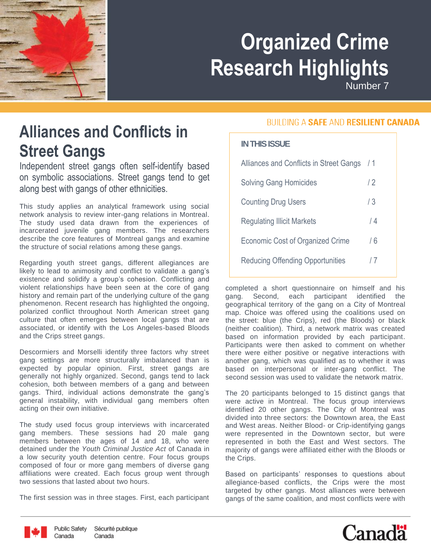# **Organized Crime Research Highlights**

Number 7

## **Alliances and Conflicts in Street Gangs**

Independent street gangs often self-identify based on symbolic associations. Street gangs tend to get along best with gangs of other ethnicities.

This study applies an analytical framework using social network analysis to review inter-gang relations in Montreal. The study used data drawn from the experiences of incarcerated juvenile gang members. The researchers describe the core features of Montreal gangs and examine the structure of social relations among these gangs.

Regarding youth street gangs, different allegiances are likely to lead to animosity and conflict to validate a gang's existence and solidify a group's cohesion. Conflicting and violent relationships have been seen at the core of gang history and remain part of the underlying culture of the gang phenomenon. Recent research has highlighted the ongoing, polarized conflict throughout North American street gang culture that often emerges between local gangs that are associated, or identify with the Los Angeles-based Bloods and the Crips street gangs.

Descormiers and Morselli identify three factors why street gang settings are more structurally imbalanced than is expected by popular opinion. First, street gangs are generally not highly organized. Second, gangs tend to lack cohesion, both between members of a gang and between gangs. Third, individual actions demonstrate the gang's general instability, with individual gang members often acting on their own initiative.

The study used focus group interviews with incarcerated gang members. These sessions had 20 male gang members between the ages of 14 and 18, who were detained under the *Youth Criminal Justice Act* of Canada in a low security youth detention centre. Four focus groups composed of four or more gang members of diverse gang affiliations were created. Each focus group went through two sessions that lasted about two hours.

The first session was in three stages. First, each participant

#### **BUILDING A SAFE AND RESILIENT CANADA**

#### **IN THIS ISSUE**

| Alliances and Conflicts in Street Gangs / 1 |     |
|---------------------------------------------|-----|
| <b>Solving Gang Homicides</b>               | /2  |
| <b>Counting Drug Users</b>                  | 73  |
| <b>Regulating Illicit Markets</b>           | 14  |
| Economic Cost of Organized Crime            | / 6 |
| <b>Reducing Offending Opportunities</b>     | 17  |

completed a short questionnaire on himself and his gang. Second, each participant identified the geographical territory of the gang on a City of Montreal map. Choice was offered using the coalitions used on the street: blue (the Crips), red (the Bloods) or black (neither coalition). Third, a network matrix was created based on information provided by each participant. Participants were then asked to comment on whether there were either positive or negative interactions with another gang, which was qualified as to whether it was based on interpersonal or inter-gang conflict. The second session was used to validate the network matrix.

The 20 participants belonged to 15 distinct gangs that were active in Montreal. The focus group interviews identified 20 other gangs. The City of Montreal was divided into three sectors: the Downtown area, the East and West areas. Neither Blood- or Crip-identifying gangs were represented in the Downtown sector, but were represented in both the East and West sectors. The majority of gangs were affiliated either with the Bloods or the Crips.

Based on participants' responses to questions about allegiance-based conflicts, the Crips were the most targeted by other gangs. Most alliances were between gangs of the same coalition, and most conflicts were with





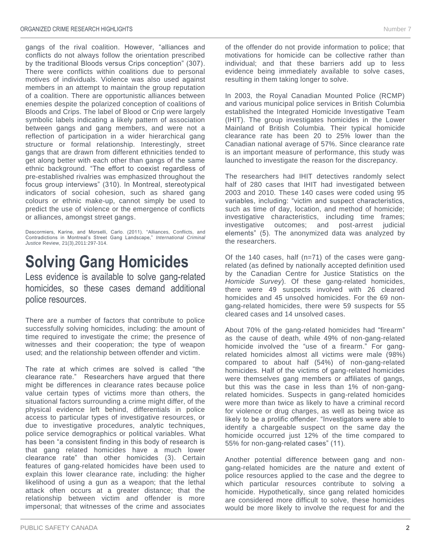gangs of the rival coalition. However, "alliances and conflicts do not always follow the orientation prescribed by the traditional Bloods versus Crips conception" (307). There were conflicts within coalitions due to personal motives of individuals. Violence was also used against members in an attempt to maintain the group reputation of a coalition. There are opportunistic alliances between enemies despite the polarized conception of coalitions of Bloods and Crips. The label of Blood or Crip were largely symbolic labels indicating a likely pattern of association between gangs and gang members, and were not a reflection of participation in a wider hierarchical gang structure or formal relationship. Interestingly, street gangs that are drawn from different ethnicities tended to get along better with each other than gangs of the same ethnic background. "The effort to coexist regardless of pre-established rivalries was emphasized throughout the focus group interviews" (310). In Montreal, stereotypical indicators of social cohesion, such as shared gang colours or ethnic make-up, cannot simply be used to predict the use of violence or the emergence of conflicts or alliances, amongst street gangs.

Descormiers, Karine, and Morselli, Carlo. (2011). "Alliances, Conflicts, and Contradictions in Montreal's Street Gang Landscape," *International Criminal Justice* Review, 21(3),2011:297-314.

#### **Solving Gang Homicides**

Less evidence is available to solve gang-related homicides, so these cases demand additional police resources.

There are a number of factors that contribute to police successfully solving homicides, including: the amount of time required to investigate the crime; the presence of witnesses and their cooperation; the type of weapon used; and the relationship between offender and victim.

The rate at which crimes are solved is called "the clearance rate." Researchers have argued that there might be differences in clearance rates because police value certain types of victims more than others, the situational factors surrounding a crime might differ, of the physical evidence left behind, differentials in police access to particular types of investigative resources, or due to investigative procedures, analytic techniques, police service demographics or political variables. What has been "a consistent finding in this body of research is that gang related homicides have a much lower clearance rate" than other homicides (3). Certain features of gang-related homicides have been used to explain this lower clearance rate, including: the higher likelihood of using a gun as a weapon; that the lethal attack often occurs at a greater distance; that the relationship between victim and offender is more impersonal; that witnesses of the crime and associates

of the offender do not provide information to police; that motivations for homicide can be collective rather than individual; and that these barriers add up to less evidence being immediately available to solve cases, resulting in them taking longer to solve.

In 2003, the Royal Canadian Mounted Police (RCMP) and various municipal police services in British Columbia established the Integrated Homicide Investigative Team (IHIT). The group investigates homicides in the Lower Mainland of British Columbia. Their typical homicide clearance rate has been 20 to 25% lower than the Canadian national average of 57%. Since clearance rate is an important measure of performance, this study was launched to investigate the reason for the discrepancy.

The researchers had IHIT detectives randomly select half of 280 cases that IHIT had investigated between 2003 and 2010. These 140 cases were coded using 95 variables, including: "victim and suspect characteristics, such as time of day, location, and method of homicide; investigative characteristics, including time frames; investigative outcomes; and post-arrest judicial elements" (5). The anonymized data was analyzed by the researchers.

Of the 140 cases, half (n=71) of the cases were gangrelated (as defined by nationally accepted definition used by the Canadian Centre for Justice Statistics on the *Homicide Survey*). Of these gang-related homicides, there were 49 suspects involved with 26 cleared homicides and 45 unsolved homicides. For the 69 nongang-related homicides, there were 59 suspects for 55 cleared cases and 14 unsolved cases.

About 70% of the gang-related homicides had "firearm" as the cause of death, while 49% of non-gang-related homicide involved the "use of a firearm." For gangrelated homicides almost all victims were male (98%) compared to about half (54%) of non-gang-related homicides. Half of the victims of gang-related homicides were themselves gang members or affiliates of gangs, but this was the case in less than 1% of non-gangrelated homicides. Suspects in gang-related homicides were more than twice as likely to have a criminal record for violence or drug charges, as well as being twice as likely to be a prolific offender. "Investigators were able to identify a chargeable suspect on the same day the homicide occurred just 12% of the time compared to 55% for non-gang-related cases" (11).

Another potential difference between gang and nongang-related homicides are the nature and extent of police resources applied to the case and the degree to which particular resources contribute to solving a homicide. Hypothetically, since gang related homicides are considered more difficult to solve, these homicides would be more likely to involve the request for and the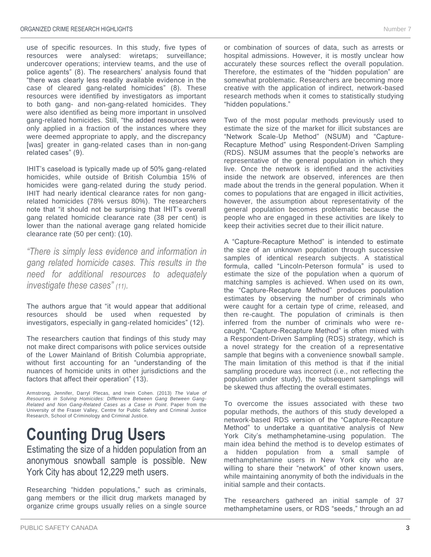use of specific resources. In this study, five types of resources were analysed: wiretaps; surveillance; undercover operations; interview teams, and the use of police agents" (8). The researchers' analysis found that "there was clearly less readily available evidence in the case of cleared gang-related homicides" (8). These resources were identified by investigators as important to both gang- and non-gang-related homicides. They were also identified as being more important in unsolved gang-related homicides. Still, "the added resources were only applied in a fraction of the instances where they were deemed appropriate to apply, and the discrepancy [was] greater in gang-related cases than in non-gang related cases" (9).

IHIT's caseload is typically made up of 50% gang-related homicides, while outside of British Columbia 15% of homicides were gang-related during the study period. IHIT had nearly identical clearance rates for non gangrelated homicides (78% versus 80%). The researchers note that "it should not be surprising that IHIT's overall gang related homicide clearance rate (38 per cent) is lower than the national average gang related homicide clearance rate (50 per cent): (10).

*"There is simply less evidence and information in gang related homicide cases. This results in the need for additional resources to adequately investigate these cases" (11).*

The authors argue that "it would appear that additional resources should be used when requested by investigators, especially in gang-related homicides" (12).

The researchers caution that findings of this study may not make direct comparisons with police services outside of the Lower Mainland of British Columbia appropriate, without first accounting for an "understanding of the nuances of homicide units in other jurisdictions and the factors that affect their operation" (13).

Armstrong, Jennifer, Darryl Plecas, and Irwin Cohen. (2013) *The Value of Resources in Solving Homicides: Difference Between Gang Between Gang-Related and Non Gang-Related Cases as a Case in Point*. Paper from the University of the Fraser Valley, Centre for Public Safety and Criminal Justice Research, School of Criminology and Criminal Justice.

### **Counting Drug Users**

Estimating the size of a hidden population from an anonymous snowball sample is possible. New York City has about 12,229 meth users.

Researching "hidden populations," such as criminals, gang members or the illicit drug markets managed by organize crime groups usually relies on a single source or combination of sources of data, such as arrests or hospital admissions. However, it is mostly unclear how accurately these sources reflect the overall population. Therefore, the estimates of the "hidden population" are somewhat problematic. Researchers are becoming more creative with the application of indirect, network-based research methods when it comes to statistically studying "hidden populations."

Two of the most popular methods previously used to estimate the size of the market for illicit substances are "Network Scale-Up Method" (NSUM) and "Capture-Recapture Method" using Respondent-Driven Sampling (RDS). NSUM assumes that the people's networks are representative of the general population in which they live. Once the network is identified and the activities inside the network are observed, inferences are then made about the trends in the general population. When it comes to populations that are engaged in illicit activities, however, the assumption about representativity of the general population becomes problematic because the people who are engaged in these activities are likely to keep their activities secret due to their illicit nature.

A "Capture-Recapture Method" is intended to estimate the size of an unknown population through successive samples of identical research subjects. A statistical formula, called "Lincoln-Peterson formula" is used to estimate the size of the population when a quorum of matching samples is achieved. When used on its own, the "Capture-Recapture Method" produces population estimates by observing the number of criminals who were caught for a certain type of crime, released, and then re-caught. The population of criminals is then inferred from the number of criminals who were recaught. "Capture-Recapture Method" is often mixed with a Respondent-Driven Sampling (RDS) strategy, which is a novel strategy for the creation of a representative sample that begins with a convenience snowball sample. The main limitation of this method is that if the initial sampling procedure was incorrect (i.e., not reflecting the population under study), the subsequent samplings will be skewed thus affecting the overall estimates.

To overcome the issues associated with these two popular methods, the authors of this study developed a network-based RDS version of the "Capture-Recapture Method" to undertake a quantitative analysis of New York City's methamphetamine-using population. The main idea behind the method is to develop estimates of a hidden population from a small sample of methamphetamine users in New York city who are willing to share their "network" of other known users, while maintaining anonymity of both the individuals in the initial sample and their contacts.

The researchers gathered an initial sample of 37 methamphetamine users, or RDS "seeds," through an ad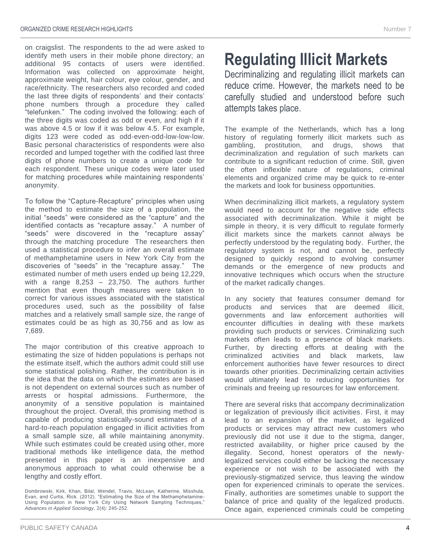on craigslist. The respondents to the ad were asked to identify meth users in their mobile phone directory; an additional 95 contacts of users were identified. Information was collected on approximate height, approximate weight, hair colour, eye colour, gender, and race/ethnicity. The researchers also recorded and coded the last three digits of respondents' and their contacts' phone numbers through a procedure they called "telefunken." The coding involved the following: each of the three digits was coded as odd or even, and high if it was above 4.5 or low if it was below 4.5. For example, digits 123 were coded as odd-even-odd-low-low-low. Basic personal characteristics of respondents were also recorded and lumped together with the codified last three digits of phone numbers to create a unique code for each respondent. These unique codes were later used for matching procedures while maintaining respondents' anonymity.

To follow the "Capture-Recapture" principles when using the method to estimate the size of a population, the initial "seeds" were considered as the "capture" and the identified contacts as "recapture assay." A number of "seeds" were discovered in the "recapture assay" through the matching procedure The researchers then used a statistical procedure to infer an overall estimate of methamphetamine users in New York City from the discoveries of "seeds" in the "recapture assay." The estimated number of meth users ended up being 12,229, with a range 8,253 – 23,750. The authors further mention that even though measures were taken to correct for various issues associated with the statistical procedures used, such as the possibility of false matches and a relatively small sample size, the range of estimates could be as high as 30,756 and as low as 7,689.

The major contribution of this creative approach to estimating the size of hidden populations is perhaps not the estimate itself, which the authors admit could still use some statistical polishing. Rather, the contribution is in the idea that the data on which the estimates are based is not dependent on external sources such as number of arrests or hospital admissions. Furthermore, the anonymity of a sensitive population is maintained throughout the project. Overall, this promising method is capable of producing statistically-sound estimates of a hard-to-reach population engaged in illicit activities from a small sample size, all while maintaining anonymity. While such estimates could be created using other, more traditional methods like intelligence data, the method presented in this paper is an inexpensive and anonymous approach to what could otherwise be a lengthy and costly effort.

#### **Regulating Illicit Markets**

Decriminalizing and regulating illicit markets can reduce crime. However, the markets need to be carefully studied and understood before such attempts takes place.

The example of the Netherlands, which has a long history of regulating formerly illicit markets such as gambling, prostitution, and drugs, shows that decriminalization and regulation of such markets can contribute to a significant reduction of crime. Still, given the often inflexible nature of regulations, criminal elements and organized crime may be quick to re-enter the markets and look for business opportunities.

When decriminalizing illicit markets, a regulatory system would need to account for the negative side effects associated with decriminalization. While it might be simple in theory, it is very difficult to regulate formerly illicit markets since the markets cannot always be perfectly understood by the regulating body. Further, the regulatory system is not, and cannot be, perfectly designed to quickly respond to evolving consumer demands or the emergence of new products and innovative techniques which occurs when the structure of the market radically changes.

In any society that features consumer demand for products and services that are deemed illicit, governments and law enforcement authorities will encounter difficulties in dealing with these markets providing such products or services. Criminalizing such markets often leads to a presence of black markets. Further, by directing efforts at dealing with the criminalized activities and black markets, law enforcement authorities have fewer resources to direct towards other priorities. Decriminalizing certain activities would ultimately lead to reducing opportunities for criminals and freeing up resources for law enforcement.

There are several risks that accompany decriminalization or legalization of previously illicit activities. First, it may lead to an expansion of the market, as legalized products or services may attract new customers who previously did not use it due to the stigma, danger, restricted availability, or higher price caused by the illegality. Second, honest operators of the newlylegalized services could either be lacking the necessary experience or not wish to be associated with the previously-stigmatized service, thus leaving the window open for experienced criminals to operate the services. Finally, authorities are sometimes unable to support the balance of price and quality of the legalized products. Once again, experienced criminals could be competing

Dombrowski, Kirk, Khan, Bilal, Wendel, Travis, McLean, Katherine, Misshula, Evan, and Curtis, Rick. (2012). "Estimating the Size of the Methamphetamine-Using Population in New York City Using Network Sampling Techniques," *Advances in Applied Sociology*, 2(4): 245-252.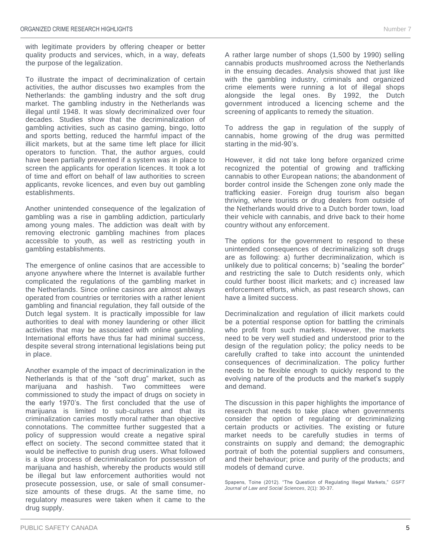with legitimate providers by offering cheaper or better quality products and services, which, in a way, defeats the purpose of the legalization.

To illustrate the impact of decriminalization of certain activities, the author discusses two examples from the Netherlands: the gambling industry and the soft drug market. The gambling industry in the Netherlands was illegal until 1948. It was slowly decriminalized over four decades. Studies show that the decriminalization of gambling activities, such as casino gaming, bingo, lotto and sports betting, reduced the harmful impact of the illicit markets, but at the same time left place for illicit operators to function. That, the author argues, could have been partially prevented if a system was in place to screen the applicants for operation licences. It took a lot of time and effort on behalf of law authorities to screen applicants, revoke licences, and even buy out gambling establishments.

Another unintended consequence of the legalization of gambling was a rise in gambling addiction, particularly among young males. The addiction was dealt with by removing electronic gambling machines from places accessible to youth, as well as restricting youth in gambling establishments.

The emergence of online casinos that are accessible to anyone anywhere where the Internet is available further complicated the regulations of the gambling market in the Netherlands. Since online casinos are almost always operated from countries or territories with a rather lenient gambling and financial regulation, they fall outside of the Dutch legal system. It is practically impossible for law authorities to deal with money laundering or other illicit activities that may be associated with online gambling. International efforts have thus far had minimal success, despite several strong international legislations being put in place.

Another example of the impact of decriminalization in the Netherlands is that of the "soft drug" market, such as marijuana and hashish. Two committees were commissioned to study the impact of drugs on society in the early 1970's. The first concluded that the use of marijuana is limited to sub-cultures and that its criminalization carries mostly moral rather than objective connotations. The committee further suggested that a policy of suppression would create a negative spiral effect on society. The second committee stated that it would be ineffective to punish drug users. What followed is a slow process of decriminalization for possession of marijuana and hashish, whereby the products would still be illegal but law enforcement authorities would not prosecute possession, use, or sale of small consumersize amounts of these drugs. At the same time, no regulatory measures were taken when it came to the drug supply.

A rather large number of shops (1,500 by 1990) selling cannabis products mushroomed across the Netherlands in the ensuing decades. Analysis showed that just like with the gambling industry, criminals and organized crime elements were running a lot of illegal shops alongside the legal ones. By 1992, the Dutch government introduced a licencing scheme and the screening of applicants to remedy the situation.

To address the gap in regulation of the supply of cannabis, home growing of the drug was permitted starting in the mid-90's.

However, it did not take long before organized crime recognized the potential of growing and trafficking cannabis to other European nations; the abandonment of border control inside the Schengen zone only made the trafficking easier. Foreign drug tourism also began thriving, where tourists or drug dealers from outside of the Netherlands would drive to a Dutch border town, load their vehicle with cannabis, and drive back to their home country without any enforcement.

The options for the government to respond to these unintended consequences of decriminalizing soft drugs are as following: a) further decriminalization, which is unlikely due to political concerns; b) "sealing the border" and restricting the sale to Dutch residents only, which could further boost illicit markets; and c) increased law enforcement efforts, which, as past research shows, can have a limited success.

Decriminalization and regulation of illicit markets could be a potential response option for battling the criminals who profit from such markets. However, the markets need to be very well studied and understood prior to the design of the regulation policy; the policy needs to be carefully crafted to take into account the unintended consequences of decriminalization. The policy further needs to be flexible enough to quickly respond to the evolving nature of the products and the market's supply and demand.

The discussion in this paper highlights the importance of research that needs to take place when governments consider the option of regulating or decriminalizing certain products or activities. The existing or future market needs to be carefully studies in terms of constraints on supply and demand; the demographic portrait of both the potential suppliers and consumers, and their behaviour; price and purity of the products; and models of demand curve.

Spapens, Toine (2012). "The Question of Regulating Illegal Markets," *GSFT Journal of Law and Social Sciences*, 2(1): 30-37.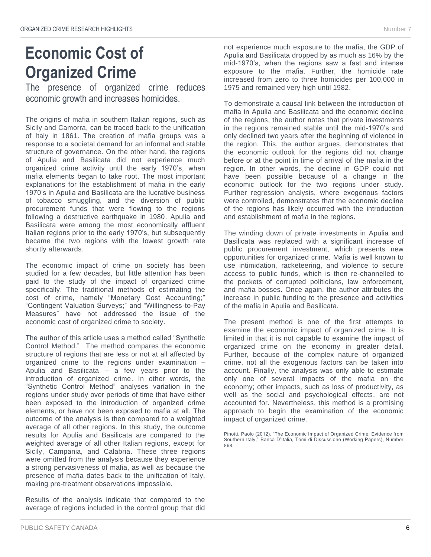#### **Economic Cost of Organized Crime**

The presence of organized crime reduces economic growth and increases homicides.

The origins of mafia in southern Italian regions, such as Sicily and Camorra, can be traced back to the unification of Italy in 1861. The creation of mafia groups was a response to a societal demand for an informal and stable structure of governance. On the other hand, the regions of Apulia and Basilicata did not experience much organized crime activity until the early 1970's, when mafia elements began to take root. The most important explanations for the establishment of mafia in the early 1970's in Apulia and Basilicata are the lucrative business of tobacco smuggling, and the diversion of public procurement funds that were flowing to the regions following a destructive earthquake in 1980. Apulia and Basilicata were among the most economically affluent Italian regions prior to the early 1970's, but subsequently became the two regions with the lowest growth rate shortly afterwards.

The economic impact of crime on society has been studied for a few decades, but little attention has been paid to the study of the impact of organized crime specifically. The traditional methods of estimating the cost of crime, namely "Monetary Cost Accounting;" "Contingent Valuation Surveys;" and "Willingness-to-Pay Measures" have not addressed the issue of the economic cost of organized crime to society.

The author of this article uses a method called "Synthetic Control Method." The method compares the economic structure of regions that are less or not at all affected by organized crime to the regions under examination – Apulia and Basilicata – a few years prior to the introduction of organized crime. In other words, the "Synthetic Control Method" analyses variation in the regions under study over periods of time that have either been exposed to the introduction of organized crime elements, or have not been exposed to mafia at all. The outcome of the analysis is then compared to a weighted average of all other regions. In this study, the outcome results for Apulia and Basilicata are compared to the weighted average of all other Italian regions, except for Sicily, Campania, and Calabria. These three regions were omitted from the analysis because they experience a strong pervasiveness of mafia, as well as because the presence of mafia dates back to the unification of Italy, making pre-treatment observations impossible.

Results of the analysis indicate that compared to the average of regions included in the control group that did not experience much exposure to the mafia, the GDP of Apulia and Basilicata dropped by as much as 16% by the mid-1970's, when the regions saw a fast and intense exposure to the mafia. Further, the homicide rate increased from zero to three homicides per 100,000 in 1975 and remained very high until 1982.

To demonstrate a causal link between the introduction of mafia in Apulia and Basilicata and the economic decline of the regions, the author notes that private investments in the regions remained stable until the mid-1970's and only declined two years after the beginning of violence in the region. This, the author argues, demonstrates that the economic outlook for the regions did not change before or at the point in time of arrival of the mafia in the region. In other words, the decline in GDP could not have been possible because of a change in the economic outlook for the two regions under study. Further regression analysis, where exogenous factors were controlled, demonstrates that the economic decline of the regions has likely occurred with the introduction and establishment of mafia in the regions.

The winding down of private investments in Apulia and Basilicata was replaced with a significant increase of public procurement investment, which presents new opportunities for organized crime. Mafia is well known to use intimidation, racketeering, and violence to secure access to public funds, which is then re-channelled to the pockets of corrupted politicians, law enforcement, and mafia bosses. Once again, the author attributes the increase in public funding to the presence and activities of the mafia in Apulia and Basilicata.

The present method is one of the first attempts to examine the economic impact of organized crime. It is limited in that it is not capable to examine the impact of organized crime on the economy in greater detail. Further, because of the complex nature of organized crime, not all the exogenous factors can be taken into account. Finally, the analysis was only able to estimate only one of several impacts of the mafia on the economy; other impacts, such as loss of productivity, as well as the social and psychological effects, are not accounted for. Nevertheless, this method is a promising approach to begin the examination of the economic impact of organized crime.

Pinotti, Paolo (2012). "The Economic Impact of Organized Crime: Evidence from Southern Italy," Banca D'Italia, Temi di Discussione (Working Papers), Number 868.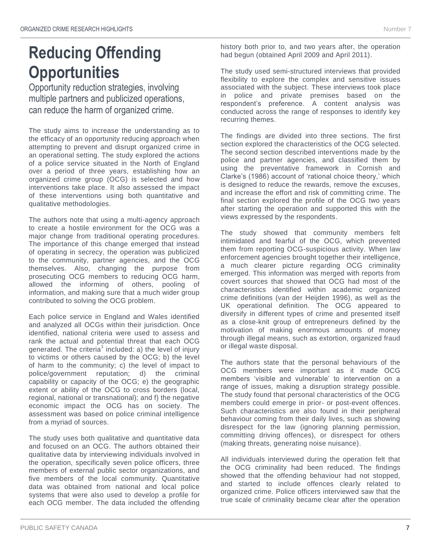# **Reducing Offending Opportunities**

Opportunity reduction strategies, involving multiple partners and publicized operations, can reduce the harm of organized crime.

The study aims to increase the understanding as to the efficacy of an opportunity reducing approach when attempting to prevent and disrupt organized crime in an operational setting. The study explored the actions of a police service situated in the North of England over a period of three years, establishing how an organized crime group (OCG) is selected and how interventions take place. It also assessed the impact of these interventions using both quantitative and qualitative methodologies.

The authors note that using a multi-agency approach to create a hostile environment for the OCG was a major change from traditional operating procedures. The importance of this change emerged that instead of operating in secrecy, the operation was publicized to the community, partner agencies, and the OCG themselves. Also, changing the purpose from prosecuting OCG members to reducing OCG harm, allowed the informing of others, pooling of information, and making sure that a much wider group contributed to solving the OCG problem.

Each police service in England and Wales identified and analyzed all OCGs within their jurisdiction. Once identified, national criteria were used to assess and rank the actual and potential threat that each OCG generated. The criteria<sup>1</sup> included: a) the level of injury to victims or others caused by the OCG; b) the level of harm to the community; c) the level of impact to police/government reputation; d) the criminal capability or capacity of the OCG; e) the geographic extent or ability of the OCG to cross borders (local, regional, national or transnational); and f) the negative economic impact the OCG has on society. The assessment was based on police criminal intelligence from a myriad of sources.

The study uses both qualitative and quantitative data and focused on an OCG. The authors obtained their qualitative data by interviewing individuals involved in the operation, specifically seven police officers, three members of external public sector organizations, and five members of the local community. Quantitative data was obtained from national and local police systems that were also used to develop a profile for each OCG member. The data included the offending

history both prior to, and two years after, the operation had begun (obtained April 2009 and April 2011).

The study used semi-structured interviews that provided flexibility to explore the complex and sensitive issues associated with the subject. These interviews took place in police and private premises based on the respondent's preference. A content analysis was conducted across the range of responses to identify key recurring themes.

The findings are divided into three sections. The first section explored the characteristics of the OCG selected. The second section described interventions made by the police and partner agencies, and classified them by using the preventative framework in Cornish and Clarke's (1986) account of 'rational choice theory,' which is designed to reduce the rewards, remove the excuses, and increase the effort and risk of committing crime. The final section explored the profile of the OCG two years after starting the operation and supported this with the views expressed by the respondents.

The study showed that community members felt intimidated and fearful of the OCG, which prevented them from reporting OCG-suspicious activity. When law enforcement agencies brought together their intelligence, a much clearer picture regarding OCG criminality emerged. This information was merged with reports from covert sources that showed that OCG had most of the characteristics identified within academic organized crime definitions (van der Heijden 1996), as well as the UK operational definition. The OCG appeared to diversify in different types of crime and presented itself as a close-knit group of entrepreneurs defined by the motivation of making enormous amounts of money through illegal means, such as extortion, organized fraud or illegal waste disposal.

The authors state that the personal behaviours of the OCG members were important as it made OCG members 'visible and vulnerable' to intervention on a range of issues, making a disruption strategy possible. The study found that personal characteristics of the OCG members could emerge in prior- or post-event offences. Such characteristics are also found in their peripheral behaviour coming from their daily lives, such as showing disrespect for the law (ignoring planning permission, committing driving offences), or disrespect for others (making threats, generating noise nuisance).

All individuals interviewed during the operation felt that the OCG criminality had been reduced. The findings showed that the offending behaviour had not stopped, and started to include offences clearly related to organized crime. Police officers interviewed saw that the true scale of criminality became clear after the operation